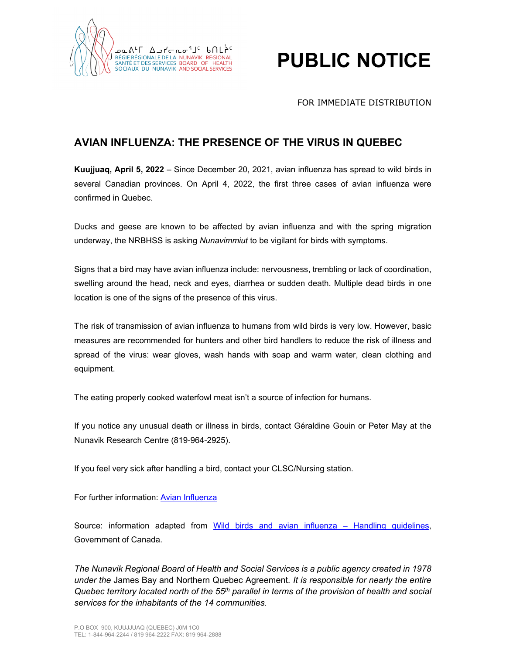

## **PUBLIC NOTICE**

## FOR IMMEDIATE DISTRIBUTION

## **AVIAN INFLUENZA: THE PRESENCE OF THE VIRUS IN QUEBEC**

**Kuujjuaq, April 5, 2022** – Since December 20, 2021, avian influenza has spread to wild birds in several Canadian provinces. On April 4, 2022, the first three cases of avian influenza were confirmed in Quebec.

Ducks and geese are known to be affected by avian influenza and with the spring migration underway, the NRBHSS is asking *Nunavimmiut* to be vigilant for birds with symptoms.

Signs that a bird may have avian influenza include: nervousness, trembling or lack of coordination, swelling around the head, neck and eyes, diarrhea or sudden death. Multiple dead birds in one location is one of the signs of the presence of this virus.

The risk of transmission of avian influenza to humans from wild birds is very low. However, basic measures are recommended for hunters and other bird handlers to reduce the risk of illness and spread of the virus: wear gloves, wash hands with soap and warm water, clean clothing and equipment.

The eating properly cooked waterfowl meat isn't a source of infection for humans.

If you notice any unusual death or illness in birds, contact Géraldine Gouin or Peter May at the Nunavik Research Centre (819-964-2925).

If you feel very sick after handling a bird, contact your CLSC/Nursing station.

For further information: [Avian Influenza](http://nrbhss.ca/en/nrbhss/public-health/infectious-diseases/avian-influenza)

Source: information adapted from [Wild birds and avian influenza –](https://www.canada.ca/en/public-health/services/flu-influenza/fact-sheet-guidance-on-precautions-handling-wild-birds.html) Handling guidelines, Government of Canada.

*The Nunavik Regional Board of Health and Social Services is a public agency created in 1978 under the* James Bay and Northern Quebec Agreement*. It is responsible for nearly the entire Quebec territory located north of the 55th parallel in terms of the provision of health and social services for the inhabitants of the 14 communities.*